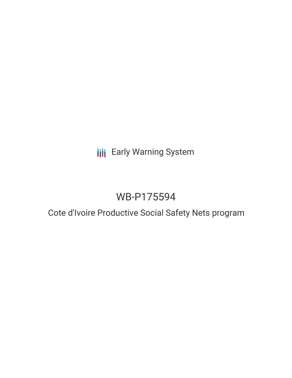# **III** Early Warning System

# WB-P175594

### Cote d'Ivoire Productive Social Safety Nets program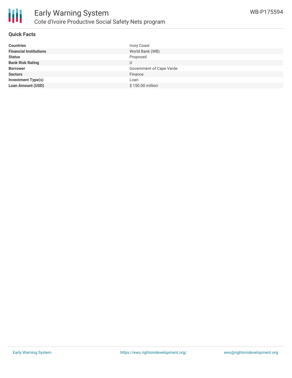

#### **Quick Facts**

| <b>Countries</b>              | Ivory Coast              |
|-------------------------------|--------------------------|
| <b>Financial Institutions</b> | World Bank (WB)          |
| <b>Status</b>                 | Proposed                 |
| <b>Bank Risk Rating</b>       | U                        |
| <b>Borrower</b>               | Government of Cape Verde |
| <b>Sectors</b>                | Finance                  |
| Investment Type(s)            | Loan                     |
| <b>Loan Amount (USD)</b>      | \$150.00 million         |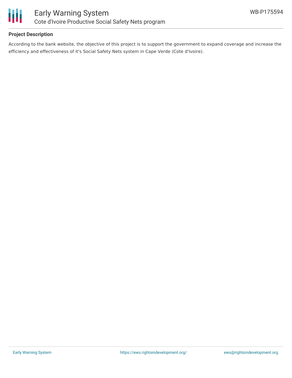

#### **Project Description**

According to the bank website, the objective of this project is to support the government to expand coverage and increase the efficiency and effectiveness of it's Social Safety Nets system in Cape Verde (Cote d'Ivoire).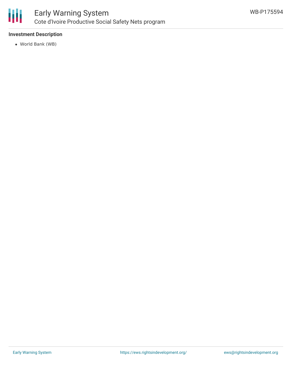

#### **Investment Description**

World Bank (WB)